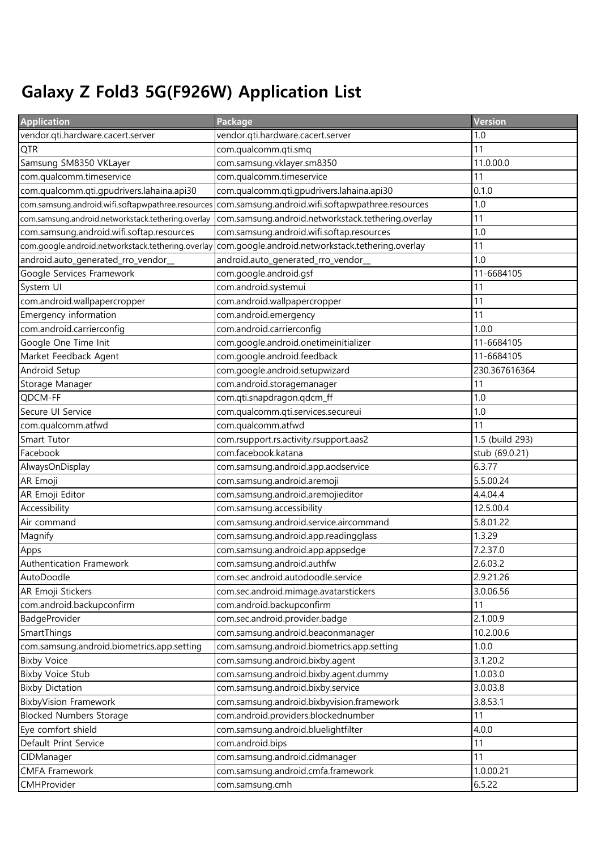## Galaxy Z Fold3 5G(F926W) Application List

| <b>Application</b>                                 | Package                                            | Version         |
|----------------------------------------------------|----------------------------------------------------|-----------------|
| vendor.qti.hardware.cacert.server                  | vendor.qti.hardware.cacert.server                  | 1.0             |
| QTR                                                | com.qualcomm.qti.smq                               | 11              |
| Samsung SM8350 VKLayer                             | com.samsung.vklayer.sm8350                         | 11.0.00.0       |
| com.qualcomm.timeservice                           | com.qualcomm.timeservice                           | 11              |
| com.qualcomm.qti.gpudrivers.lahaina.api30          | com.qualcomm.qti.gpudrivers.lahaina.api30          | 0.1.0           |
| com.samsung.android.wifi.softapwpathree.resources  | com.samsung.android.wifi.softapwpathree.resources  | 1.0             |
| com.samsung.android.networkstack.tethering.overlay | com.samsung.android.networkstack.tethering.overlay | 11              |
| com.samsung.android.wifi.softap.resources          | com.samsung.android.wifi.softap.resources          | 1.0             |
| com.google.android.networkstack.tethering.overlay  | com.google.android.networkstack.tethering.overlay  | 11              |
| android.auto_generated_rro_vendor_                 | android.auto_generated_rro_vendor_                 | 1.0             |
| Google Services Framework                          | com.google.android.gsf                             | 11-6684105      |
| System UI                                          | com.android.systemui                               | 11              |
| com.android.wallpapercropper                       | com.android.wallpapercropper                       | 11              |
| Emergency information                              | com.android.emergency                              | 11              |
| com.android.carrierconfig                          | com.android.carrierconfig                          | 1.0.0           |
| Google One Time Init                               | com.google.android.onetimeinitializer              | 11-6684105      |
| Market Feedback Agent                              | com.google.android.feedback                        | 11-6684105      |
| Android Setup                                      | com.google.android.setupwizard                     | 230.367616364   |
| Storage Manager                                    | com.android.storagemanager                         | 11              |
| QDCM-FF                                            | com.qti.snapdragon.qdcm_ff                         | 1.0             |
| Secure UI Service                                  | com.qualcomm.qti.services.secureui                 | 1.0             |
| com.qualcomm.atfwd                                 | com.qualcomm.atfwd                                 | 11              |
| Smart Tutor                                        | com.rsupport.rs.activity.rsupport.aas2             | 1.5 (build 293) |
| Facebook                                           | com.facebook.katana                                | stub (69.0.21)  |
| AlwaysOnDisplay                                    | com.samsung.android.app.aodservice                 | 6.3.77          |
| AR Emoji                                           | com.samsung.android.aremoji                        | 5.5.00.24       |
| AR Emoji Editor                                    | com.samsung.android.aremojieditor                  | 4.4.04.4        |
| Accessibility                                      | com.samsung.accessibility                          | 12.5.00.4       |
| Air command                                        | com.samsung.android.service.aircommand             | 5.8.01.22       |
| Magnify                                            | com.samsung.android.app.readingglass               | 1.3.29          |
| Apps                                               | com.samsung.android.app.appsedge                   | 7.2.37.0        |
| Authentication Framework                           | com.samsung.android.authfw                         | 2.6.03.2        |
| AutoDoodle                                         | com.sec.android.autodoodle.service                 | 2.9.21.26       |
| AR Emoji Stickers                                  | com.sec.android.mimage.avatarstickers              | 3.0.06.56       |
| com.android.backupconfirm                          | com.android.backupconfirm                          | 11              |
| BadgeProvider                                      | com.sec.android.provider.badge                     | 2.1.00.9        |
| SmartThings                                        | com.samsung.android.beaconmanager                  | 10.2.00.6       |
| com.samsung.android.biometrics.app.setting         | com.samsung.android.biometrics.app.setting         | 1.0.0           |
| <b>Bixby Voice</b>                                 | com.samsung.android.bixby.agent                    | 3.1.20.2        |
| <b>Bixby Voice Stub</b>                            | com.samsung.android.bixby.agent.dummy              | 1.0.03.0        |
| <b>Bixby Dictation</b>                             | com.samsung.android.bixby.service                  | 3.0.03.8        |
| <b>BixbyVision Framework</b>                       | com.samsung.android.bixbyvision.framework          | 3.8.53.1        |
| <b>Blocked Numbers Storage</b>                     | com.android.providers.blockednumber                | 11              |
| Eye comfort shield                                 | com.samsung.android.bluelightfilter                | 4.0.0           |
| Default Print Service                              | com.android.bips                                   | 11              |
| CIDManager                                         | com.samsung.android.cidmanager                     | 11              |
| <b>CMFA Framework</b>                              | com.samsung.android.cmfa.framework                 | 1.0.00.21       |
| CMHProvider                                        | com.samsung.cmh                                    | 6.5.22          |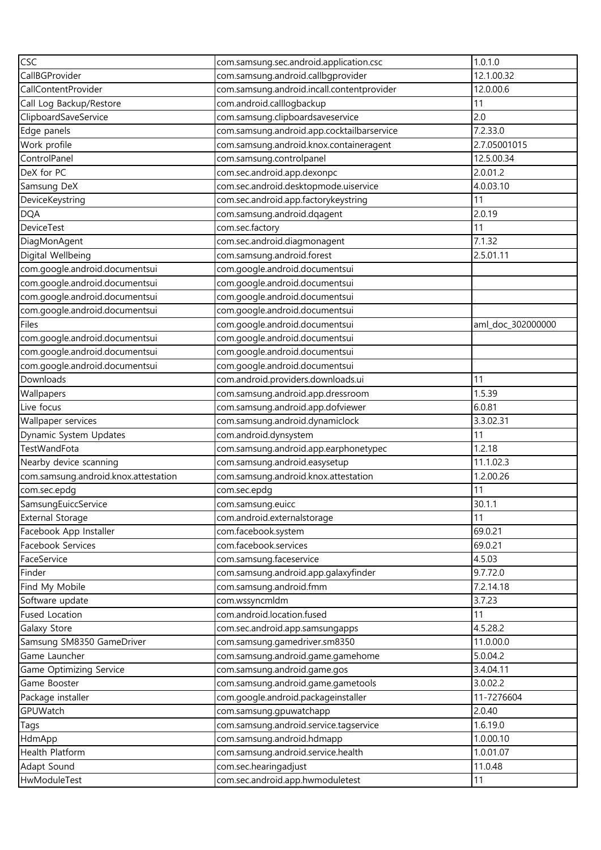| CSC                                  | com.samsung.sec.android.application.csc    | 1.0.1.0           |
|--------------------------------------|--------------------------------------------|-------------------|
| CallBGProvider                       | com.samsung.android.callbgprovider         | 12.1.00.32        |
| CallContentProvider                  | com.samsung.android.incall.contentprovider | 12.0.00.6         |
| Call Log Backup/Restore              | com.android.calllogbackup                  | 11                |
| ClipboardSaveService                 | com.samsung.clipboardsaveservice           | 2.0               |
| Edge panels                          | com.samsung.android.app.cocktailbarservice | 7.2.33.0          |
| Work profile                         | com.samsung.android.knox.containeragent    | 2.7.05001015      |
| ControlPanel                         | com.samsung.controlpanel                   | 12.5.00.34        |
| DeX for PC                           | com.sec.android.app.dexonpc                | 2.0.01.2          |
| Samsung DeX                          | com.sec.android.desktopmode.uiservice      | 4.0.03.10         |
| DeviceKeystring                      | com.sec.android.app.factorykeystring       | 11                |
| <b>DQA</b>                           | com.samsung.android.dqagent                | 2.0.19            |
| <b>DeviceTest</b>                    | com.sec.factory                            | 11                |
| DiagMonAgent                         | com.sec.android.diagmonagent               | 7.1.32            |
| Digital Wellbeing                    | com.samsung.android.forest                 | 2.5.01.11         |
| com.google.android.documentsui       | com.google.android.documentsui             |                   |
| com.google.android.documentsui       | com.google.android.documentsui             |                   |
| com.google.android.documentsui       | com.google.android.documentsui             |                   |
| com.google.android.documentsui       | com.google.android.documentsui             |                   |
| Files                                | com.google.android.documentsui             | aml_doc_302000000 |
| com.google.android.documentsui       | com.google.android.documentsui             |                   |
| com.google.android.documentsui       | com.google.android.documentsui             |                   |
| com.google.android.documentsui       | com.google.android.documentsui             |                   |
| Downloads                            | com.android.providers.downloads.ui         | 11                |
| Wallpapers                           | com.samsung.android.app.dressroom          | 1.5.39            |
| Live focus                           | com.samsung.android.app.dofviewer          | 6.0.81            |
| Wallpaper services                   | com.samsung.android.dynamiclock            | 3.3.02.31         |
| Dynamic System Updates               | com.android.dynsystem                      | 11                |
| TestWandFota                         | com.samsung.android.app.earphonetypec      | 1.2.18            |
| Nearby device scanning               | com.samsung.android.easysetup              | 11.1.02.3         |
| com.samsung.android.knox.attestation | com.samsung.android.knox.attestation       | 1.2.00.26         |
| com.sec.epdg                         | com.sec.epdg                               | 11                |
| SamsungEuiccService                  | com.samsung.euicc                          | 30.1.1            |
| <b>External Storage</b>              | com.android.externalstorage                | 11                |
| Facebook App Installer               | com.facebook.system                        | 69.0.21           |
| Facebook Services                    | com.facebook.services                      | 69.0.21           |
| FaceService                          | com.samsung.faceservice                    | 4.5.03            |
| Finder                               | com.samsung.android.app.galaxyfinder       | 9.7.72.0          |
| Find My Mobile                       | com.samsung.android.fmm                    | 7.2.14.18         |
| Software update                      | com.wssyncmldm                             | 3.7.23            |
| <b>Fused Location</b>                | com.android.location.fused                 | 11                |
| Galaxy Store                         | com.sec.android.app.samsungapps            | 4.5.28.2          |
| Samsung SM8350 GameDriver            | com.samsung.gamedriver.sm8350              | 11.0.00.0         |
| Game Launcher                        | com.samsung.android.game.gamehome          | 5.0.04.2          |
| Game Optimizing Service              | com.samsung.android.game.gos               | 3.4.04.11         |
| Game Booster                         | com.samsung.android.game.gametools         | 3.0.02.2          |
| Package installer                    | com.google.android.packageinstaller        | 11-7276604        |
| GPUWatch                             | com.samsung.gpuwatchapp                    | 2.0.40            |
| Tags                                 | com.samsung.android.service.tagservice     | 1.6.19.0          |
| HdmApp                               | com.samsung.android.hdmapp                 | 1.0.00.10         |
| Health Platform                      | com.samsung.android.service.health         | 1.0.01.07         |
| Adapt Sound                          | com.sec.hearingadjust                      | 11.0.48           |
| HwModuleTest                         | com.sec.android.app.hwmoduletest           | 11                |
|                                      |                                            |                   |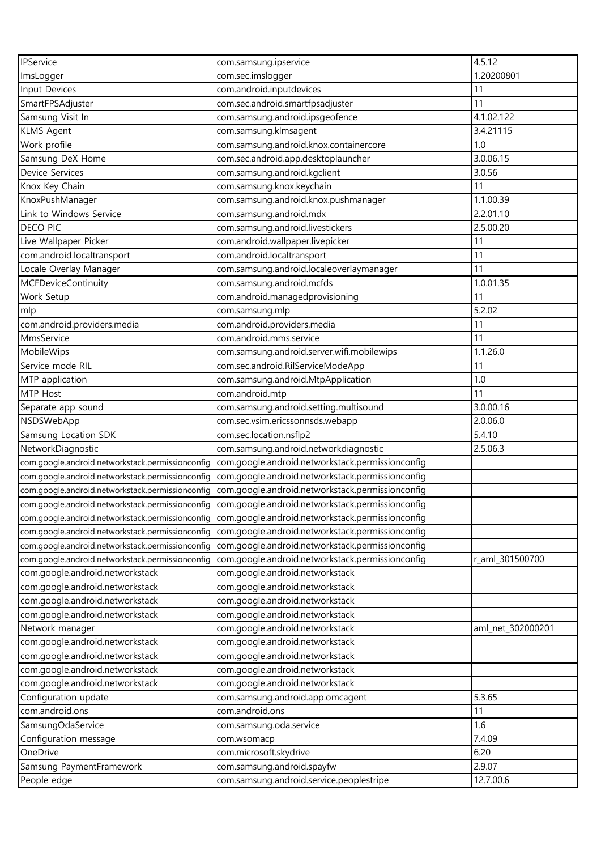| IPService                                        | com.samsung.ipservice                                                                             | 4.5.12            |
|--------------------------------------------------|---------------------------------------------------------------------------------------------------|-------------------|
| ImsLogger                                        | com.sec.imslogger                                                                                 | 1.20200801        |
| Input Devices                                    | com.android.inputdevices                                                                          | 11                |
| SmartFPSAdjuster                                 | com.sec.android.smartfpsadjuster                                                                  | 11                |
| Samsung Visit In                                 | com.samsung.android.ipsgeofence                                                                   | 4.1.02.122        |
| <b>KLMS Agent</b>                                | com.samsung.klmsagent                                                                             | 3.4.21115         |
| Work profile                                     | com.samsung.android.knox.containercore                                                            | 1.0               |
| Samsung DeX Home                                 | com.sec.android.app.desktoplauncher                                                               | 3.0.06.15         |
| <b>Device Services</b>                           | com.samsung.android.kgclient                                                                      | 3.0.56            |
| Knox Key Chain                                   | com.samsung.knox.keychain                                                                         | 11                |
| KnoxPushManager                                  | com.samsung.android.knox.pushmanager                                                              | 1.1.00.39         |
| Link to Windows Service                          | com.samsung.android.mdx                                                                           | 2.2.01.10         |
| <b>DECO PIC</b>                                  | com.samsung.android.livestickers                                                                  | 2.5.00.20         |
| Live Wallpaper Picker                            | com.android.wallpaper.livepicker                                                                  | 11                |
| com.android.localtransport                       | com.android.localtransport                                                                        | 11                |
| Locale Overlay Manager                           | com.samsung.android.localeoverlaymanager                                                          | 11                |
| <b>MCFDeviceContinuity</b>                       | com.samsung.android.mcfds                                                                         | 1.0.01.35         |
| Work Setup                                       | com.android.managedprovisioning                                                                   | 11                |
| mlp                                              | com.samsung.mlp                                                                                   | 5.2.02            |
| com.android.providers.media                      | com.android.providers.media                                                                       | 11                |
| MmsService                                       | com.android.mms.service                                                                           | 11                |
| MobileWips                                       | com.samsung.android.server.wifi.mobilewips                                                        | 1.1.26.0          |
| Service mode RIL                                 | com.sec.android.RilServiceModeApp                                                                 | 11                |
| MTP application                                  | com.samsung.android.MtpApplication                                                                | 1.0               |
| MTP Host                                         | com.android.mtp                                                                                   | 11                |
| Separate app sound                               | com.samsung.android.setting.multisound                                                            | 3.0.00.16         |
| NSDSWebApp                                       | com.sec.vsim.ericssonnsds.webapp                                                                  | 2.0.06.0          |
| Samsung Location SDK                             | com.sec.location.nsflp2                                                                           | 5.4.10            |
| NetworkDiagnostic                                | com.samsung.android.networkdiagnostic                                                             | 2.5.06.3          |
| com.google.android.networkstack.permissionconfig | com.google.android.networkstack.permissionconfig                                                  |                   |
| com.google.android.networkstack.permissionconfig | com.google.android.networkstack.permissionconfig                                                  |                   |
| com.google.android.networkstack.permissionconfig | com.google.android.networkstack.permissionconfig                                                  |                   |
|                                                  | com.google.android.networkstack.permissionconfig com.google.android.networkstack.permissionconfig |                   |
| com.google.android.networkstack.permissionconfig | com.google.android.networkstack.permissionconfig                                                  |                   |
| com.google.android.networkstack.permissionconfig | com.google.android.networkstack.permissionconfig                                                  |                   |
| com.google.android.networkstack.permissionconfig | com.google.android.networkstack.permissionconfig                                                  |                   |
| com.google.android.networkstack.permissionconfig | com.google.android.networkstack.permissionconfig                                                  | r_aml_301500700   |
| com.google.android.networkstack                  | com.google.android.networkstack                                                                   |                   |
| com.google.android.networkstack                  | com.google.android.networkstack                                                                   |                   |
| com.google.android.networkstack                  | com.google.android.networkstack                                                                   |                   |
| com.google.android.networkstack                  | com.google.android.networkstack                                                                   |                   |
| Network manager                                  | com.google.android.networkstack                                                                   | aml_net_302000201 |
| com.google.android.networkstack                  | com.google.android.networkstack                                                                   |                   |
| com.google.android.networkstack                  | com.google.android.networkstack                                                                   |                   |
| com.google.android.networkstack                  | com.google.android.networkstack                                                                   |                   |
| com.google.android.networkstack                  | com.google.android.networkstack                                                                   |                   |
| Configuration update                             | com.samsung.android.app.omcagent                                                                  | 5.3.65            |
| com.android.ons                                  | com.android.ons                                                                                   | 11                |
| SamsungOdaService                                | com.samsung.oda.service                                                                           | 1.6               |
| Configuration message                            | com.wsomacp                                                                                       | 7.4.09            |
| OneDrive                                         | com.microsoft.skydrive                                                                            | 6.20              |
| Samsung PaymentFramework                         | com.samsung.android.spayfw                                                                        | 2.9.07            |
| People edge                                      | com.samsung.android.service.peoplestripe                                                          | 12.7.00.6         |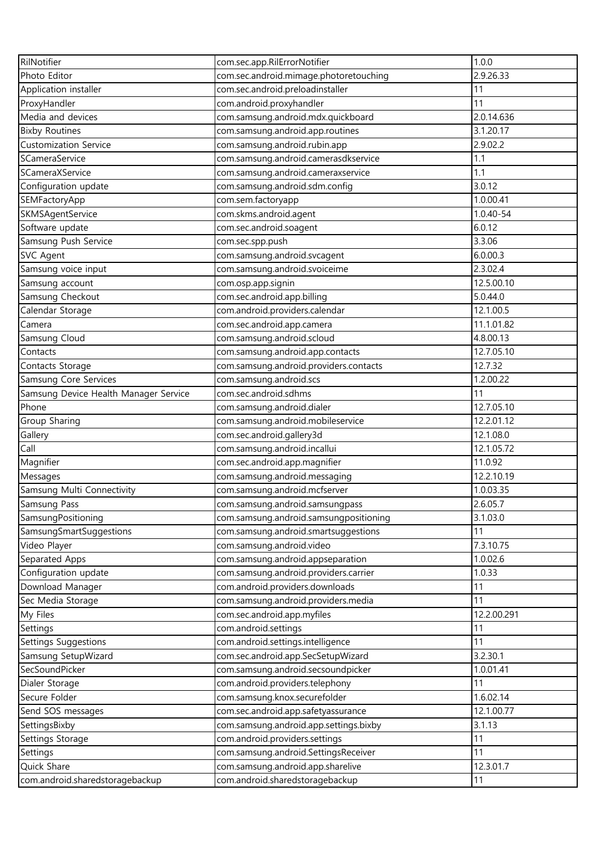| RilNotifier                           | com.sec.app.RilErrorNotifier           | 1.0.0       |
|---------------------------------------|----------------------------------------|-------------|
| Photo Editor                          | com.sec.android.mimage.photoretouching | 2.9.26.33   |
| Application installer                 | com.sec.android.preloadinstaller       | 11          |
| ProxyHandler                          | com.android.proxyhandler               | 11          |
| Media and devices                     | com.samsung.android.mdx.quickboard     | 2.0.14.636  |
| <b>Bixby Routines</b>                 | com.samsung.android.app.routines       | 3.1.20.17   |
| <b>Customization Service</b>          | com.samsung.android.rubin.app          | 2.9.02.2    |
| SCameraService                        | com.samsung.android.camerasdkservice   | 1.1         |
| SCameraXService                       | com.samsung.android.cameraxservice     | 1.1         |
| Configuration update                  | com.samsung.android.sdm.config         | 3.0.12      |
| SEMFactoryApp                         | com.sem.factoryapp                     | 1.0.00.41   |
| SKMSAgentService                      | com.skms.android.agent                 | 1.0.40-54   |
| Software update                       | com.sec.android.soagent                | 6.0.12      |
| Samsung Push Service                  | com.sec.spp.push                       | 3.3.06      |
| <b>SVC Agent</b>                      | com.samsung.android.svcagent           | 6.0.00.3    |
| Samsung voice input                   | com.samsung.android.svoiceime          | 2.3.02.4    |
| Samsung account                       | com.osp.app.signin                     | 12.5.00.10  |
| Samsung Checkout                      | com.sec.android.app.billing            | 5.0.44.0    |
| Calendar Storage                      | com.android.providers.calendar         | 12.1.00.5   |
| Camera                                | com.sec.android.app.camera             | 11.1.01.82  |
| Samsung Cloud                         | com.samsung.android.scloud             | 4.8.00.13   |
| Contacts                              | com.samsung.android.app.contacts       | 12.7.05.10  |
| Contacts Storage                      | com.samsung.android.providers.contacts | 12.7.32     |
| Samsung Core Services                 | com.samsung.android.scs                | 1.2.00.22   |
| Samsung Device Health Manager Service | com.sec.android.sdhms                  | 11          |
| Phone                                 | com.samsung.android.dialer             | 12.7.05.10  |
| Group Sharing                         | com.samsung.android.mobileservice      | 12.2.01.12  |
| Gallery                               | com.sec.android.gallery3d              | 12.1.08.0   |
| Call                                  | com.samsung.android.incallui           | 12.1.05.72  |
| Magnifier                             | com.sec.android.app.magnifier          | 11.0.92     |
| Messages                              | com.samsung.android.messaging          | 12.2.10.19  |
| Samsung Multi Connectivity            | com.samsung.android.mcfserver          | 1.0.03.35   |
| Samsung Pass                          | com.samsung.android.samsungpass        | 2.6.05.7    |
| SamsungPositioning                    | com.samsung.android.samsungpositioning | 3.1.03.0    |
| SamsungSmartSuggestions               | com.samsung.android.smartsuggestions   | 11          |
| Video Player                          | com.samsung.android.video              | 7.3.10.75   |
| Separated Apps                        | com.samsung.android.appseparation      | 1.0.02.6    |
| Configuration update                  | com.samsung.android.providers.carrier  | 1.0.33      |
| Download Manager                      | com.android.providers.downloads        | 11          |
| Sec Media Storage                     | com.samsung.android.providers.media    | 11          |
| My Files                              | com.sec.android.app.myfiles            | 12.2.00.291 |
| Settings                              | com.android.settings                   | 11          |
| Settings Suggestions                  | com.android.settings.intelligence      | 11          |
| Samsung SetupWizard                   | com.sec.android.app.SecSetupWizard     | 3.2.30.1    |
| SecSoundPicker                        | com.samsung.android.secsoundpicker     | 1.0.01.41   |
| Dialer Storage                        | com.android.providers.telephony        | 11          |
| Secure Folder                         | com.samsung.knox.securefolder          | 1.6.02.14   |
| Send SOS messages                     | com.sec.android.app.safetyassurance    | 12.1.00.77  |
| SettingsBixby                         | com.samsung.android.app.settings.bixby | 3.1.13      |
| Settings Storage                      | com.android.providers.settings         | 11          |
| Settings                              | com.samsung.android.SettingsReceiver   | 11          |
| Quick Share                           | com.samsung.android.app.sharelive      | 12.3.01.7   |
| com.android.sharedstoragebackup       | com.android.sharedstoragebackup        | 11          |
|                                       |                                        |             |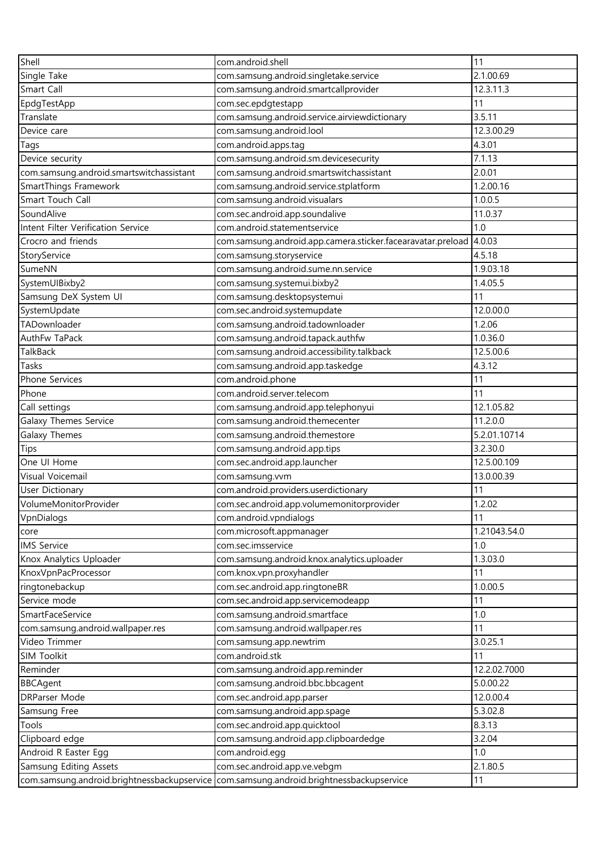| Shell                                    | com.android.shell                                                                       | 11           |
|------------------------------------------|-----------------------------------------------------------------------------------------|--------------|
| Single Take                              | com.samsung.android.singletake.service                                                  | 2.1.00.69    |
| Smart Call                               | com.samsung.android.smartcallprovider                                                   | 12.3.11.3    |
| EpdgTestApp                              | com.sec.epdgtestapp                                                                     | 11           |
| Translate                                | com.samsung.android.service.airviewdictionary                                           | 3.5.11       |
| Device care                              | com.samsung.android.lool                                                                | 12.3.00.29   |
| Tags                                     | com.android.apps.tag                                                                    | 4.3.01       |
| Device security                          | com.samsung.android.sm.devicesecurity                                                   | 7.1.13       |
| com.samsung.android.smartswitchassistant | com.samsung.android.smartswitchassistant                                                | 2.0.01       |
| SmartThings Framework                    | com.samsung.android.service.stplatform                                                  | 1.2.00.16    |
| Smart Touch Call                         | com.samsung.android.visualars                                                           | 1.0.0.5      |
| SoundAlive                               | com.sec.android.app.soundalive                                                          | 11.0.37      |
| Intent Filter Verification Service       | com.android.statementservice                                                            | 1.0          |
| Crocro and friends                       | com.samsung.android.app.camera.sticker.facearavatar.preload                             | 4.0.03       |
| StoryService                             | com.samsung.storyservice                                                                | 4.5.18       |
| SumeNN                                   | com.samsung.android.sume.nn.service                                                     | 1.9.03.18    |
| SystemUIBixby2                           | com.samsung.systemui.bixby2                                                             | 1.4.05.5     |
| Samsung DeX System UI                    | com.samsung.desktopsystemui                                                             | 11           |
| SystemUpdate                             | com.sec.android.systemupdate                                                            | 12.0.00.0    |
| TADownloader                             | com.samsung.android.tadownloader                                                        | 1.2.06       |
| AuthFw TaPack                            | com.samsung.android.tapack.authfw                                                       | 1.0.36.0     |
| TalkBack                                 | com.samsung.android.accessibility.talkback                                              | 12.5.00.6    |
| Tasks                                    | com.samsung.android.app.taskedge                                                        | 4.3.12       |
|                                          |                                                                                         |              |
| Phone Services                           | com.android.phone                                                                       | 11           |
| Phone                                    | com.android.server.telecom                                                              | 11           |
| Call settings                            | com.samsung.android.app.telephonyui                                                     | 12.1.05.82   |
| Galaxy Themes Service                    | com.samsung.android.themecenter                                                         | 11.2.0.0     |
| Galaxy Themes                            | com.samsung.android.themestore                                                          | 5.2.01.10714 |
| Tips                                     | com.samsung.android.app.tips                                                            | 3.2.30.0     |
| One UI Home                              | com.sec.android.app.launcher                                                            | 12.5.00.109  |
| Visual Voicemail                         | com.samsung.vvm                                                                         | 13.0.00.39   |
| <b>User Dictionary</b>                   | com.android.providers.userdictionary                                                    | 11           |
| VolumeMonitorProvider                    | com.sec.android.app.volumemonitorprovider                                               | 1.2.02       |
| VpnDialogs                               | com.android.vpndialogs                                                                  | 11           |
| core                                     | com.microsoft.appmanager                                                                | 1.21043.54.0 |
| <b>IMS Service</b>                       | com.sec.imsservice                                                                      | 1.0          |
| Knox Analytics Uploader                  | com.samsung.android.knox.analytics.uploader                                             | 1.3.03.0     |
| KnoxVpnPacProcessor                      | com.knox.vpn.proxyhandler                                                               | 11           |
| ringtonebackup                           | com.sec.android.app.ringtoneBR                                                          | 1.0.00.5     |
| Service mode                             | com.sec.android.app.servicemodeapp                                                      | 11           |
| SmartFaceService                         | com.samsung.android.smartface                                                           | 1.0          |
| com.samsung.android.wallpaper.res        | com.samsung.android.wallpaper.res                                                       | 11           |
| Video Trimmer                            | com.samsung.app.newtrim                                                                 | 3.0.25.1     |
| SIM Toolkit                              | com.android.stk                                                                         | 11           |
| Reminder                                 | com.samsung.android.app.reminder                                                        | 12.2.02.7000 |
| <b>BBCAgent</b>                          | com.samsung.android.bbc.bbcagent                                                        | 5.0.00.22    |
| DRParser Mode                            | com.sec.android.app.parser                                                              | 12.0.00.4    |
| Samsung Free                             | com.samsung.android.app.spage                                                           | 5.3.02.8     |
| Tools                                    | com.sec.android.app.quicktool                                                           | 8.3.13       |
| Clipboard edge                           | com.samsung.android.app.clipboardedge                                                   | 3.2.04       |
| Android R Easter Egg                     | com.android.egg                                                                         | 1.0          |
| Samsung Editing Assets                   | com.sec.android.app.ve.vebgm                                                            | 2.1.80.5     |
|                                          | com.samsung.android.brightnessbackupservice com.samsung.android.brightnessbackupservice | 11           |
|                                          |                                                                                         |              |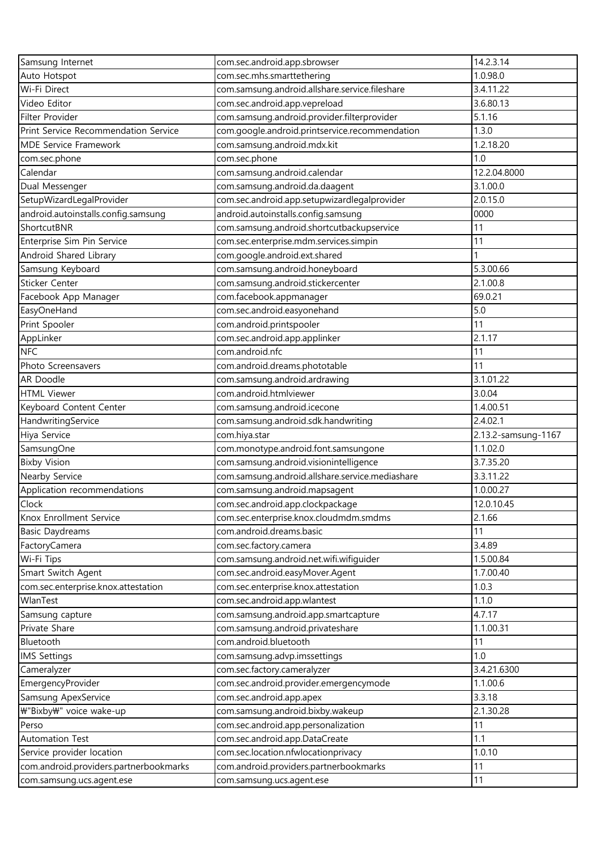| Samsung Internet                       | com.sec.android.app.sbrowser                    | 14.2.3.14           |
|----------------------------------------|-------------------------------------------------|---------------------|
| Auto Hotspot                           | com.sec.mhs.smarttethering                      | 1.0.98.0            |
| Wi-Fi Direct                           | com.samsung.android.allshare.service.fileshare  | 3.4.11.22           |
| Video Editor                           | com.sec.android.app.vepreload                   | 3.6.80.13           |
| Filter Provider                        | com.samsung.android.provider.filterprovider     | 5.1.16              |
| Print Service Recommendation Service   | com.google.android.printservice.recommendation  | 1.3.0               |
| <b>MDE Service Framework</b>           | com.samsung.android.mdx.kit                     | 1.2.18.20           |
| com.sec.phone                          | com.sec.phone                                   | 1.0                 |
| Calendar                               | com.samsung.android.calendar                    | 12.2.04.8000        |
| Dual Messenger                         | com.samsung.android.da.daagent                  | 3.1.00.0            |
| SetupWizardLegalProvider               | com.sec.android.app.setupwizardlegalprovider    | 2.0.15.0            |
| android.autoinstalls.config.samsung    | android.autoinstalls.config.samsung             | 0000                |
| ShortcutBNR                            | com.samsung.android.shortcutbackupservice       | 11                  |
| Enterprise Sim Pin Service             | com.sec.enterprise.mdm.services.simpin          | 11                  |
| Android Shared Library                 | com.google.android.ext.shared                   |                     |
| Samsung Keyboard                       | com.samsung.android.honeyboard                  | 5.3.00.66           |
| Sticker Center                         | com.samsung.android.stickercenter               | 2.1.00.8            |
| Facebook App Manager                   | com.facebook.appmanager                         | 69.0.21             |
| EasyOneHand                            | com.sec.android.easyonehand                     | 5.0                 |
| Print Spooler                          | com.android.printspooler                        | 11                  |
|                                        |                                                 | 2.1.17              |
| AppLinker                              | com.sec.android.app.applinker                   |                     |
| <b>NFC</b>                             | com.android.nfc                                 | 11                  |
| Photo Screensavers                     | com.android.dreams.phototable                   | 11                  |
| AR Doodle                              | com.samsung.android.ardrawing                   | 3.1.01.22           |
| <b>HTML Viewer</b>                     | com.android.htmlviewer                          | 3.0.04              |
| Keyboard Content Center                | com.samsung.android.icecone                     | 1.4.00.51           |
| HandwritingService                     | com.samsung.android.sdk.handwriting             | 2.4.02.1            |
| Hiya Service                           | com.hiya.star                                   | 2.13.2-samsung-1167 |
| SamsungOne                             | com.monotype.android.font.samsungone            | 1.1.02.0            |
| <b>Bixby Vision</b>                    | com.samsung.android.visionintelligence          | 3.7.35.20           |
| Nearby Service                         | com.samsung.android.allshare.service.mediashare | 3.3.11.22           |
| Application recommendations            | com.samsung.android.mapsagent                   | 1.0.00.27           |
| Clock                                  | com.sec.android.app.clockpackage                | 12.0.10.45          |
| Knox Enrollment Service                | com.sec.enterprise.knox.cloudmdm.smdms          | 2.1.66              |
| <b>Basic Daydreams</b>                 | com.android.dreams.basic                        | 11                  |
| FactoryCamera                          | com.sec.factory.camera                          | 3.4.89              |
| Wi-Fi Tips                             | com.samsung.android.net.wifi.wifiguider         | 1.5.00.84           |
| Smart Switch Agent                     | com.sec.android.easyMover.Agent                 | 1.7.00.40           |
| com.sec.enterprise.knox.attestation    | com.sec.enterprise.knox.attestation             | 1.0.3               |
| WlanTest                               | com.sec.android.app.wlantest                    | 1.1.0               |
| Samsung capture                        | com.samsung.android.app.smartcapture            | 4.7.17              |
| Private Share                          | com.samsung.android.privateshare                | 1.1.00.31           |
| Bluetooth                              | com.android.bluetooth                           | 11                  |
| <b>IMS Settings</b>                    | com.samsung.advp.imssettings                    | 1.0                 |
| Cameralyzer                            | com.sec.factory.cameralyzer                     | 3.4.21.6300         |
| EmergencyProvider                      | com.sec.android.provider.emergencymode          | 1.1.00.6            |
| Samsung ApexService                    | com.sec.android.app.apex                        | 3.3.18              |
| ₩"Bixby₩" voice wake-up                | com.samsung.android.bixby.wakeup                | 2.1.30.28           |
| Perso                                  | com.sec.android.app.personalization             | 11                  |
| Automation Test                        | com.sec.android.app.DataCreate                  | 1.1                 |
| Service provider location              | com.sec.location.nfwlocationprivacy             | 1.0.10              |
| com.android.providers.partnerbookmarks | com.android.providers.partnerbookmarks          | 11                  |
| com.samsung.ucs.agent.ese              | com.samsung.ucs.agent.ese                       | 11                  |
|                                        |                                                 |                     |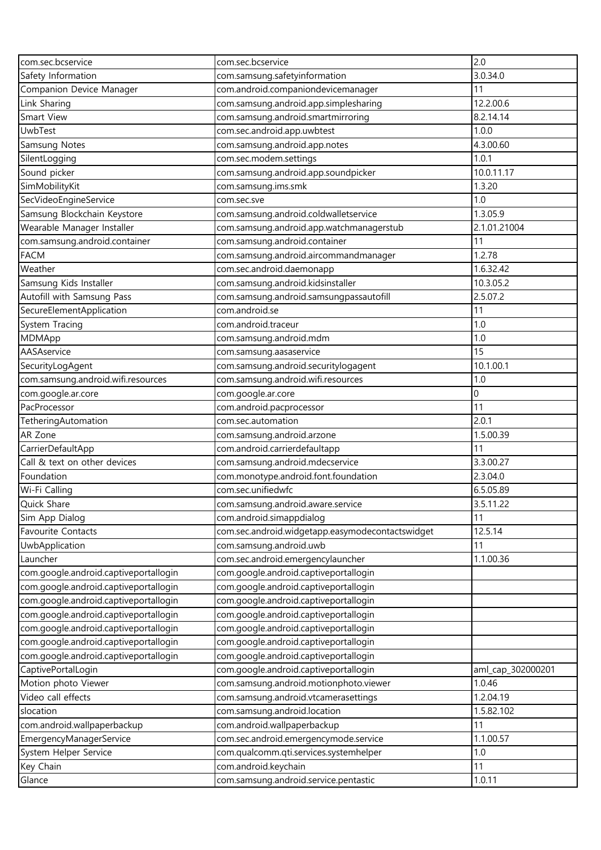| com.sec.bcservice                     | com.sec.bcservice                                | 2.0               |
|---------------------------------------|--------------------------------------------------|-------------------|
| Safety Information                    | com.samsung.safetyinformation                    | 3.0.34.0          |
| Companion Device Manager              | com.android.companiondevicemanager               | 11                |
| Link Sharing                          | com.samsung.android.app.simplesharing            | 12.2.00.6         |
| Smart View                            | com.samsung.android.smartmirroring               | 8.2.14.14         |
| <b>UwbTest</b>                        | com.sec.android.app.uwbtest                      | 1.0.0             |
| <b>Samsung Notes</b>                  | com.samsung.android.app.notes                    | 4.3.00.60         |
| SilentLogging                         | com.sec.modem.settings                           | 1.0.1             |
| Sound picker                          | com.samsung.android.app.soundpicker              | 10.0.11.17        |
| SimMobilityKit                        | com.samsung.ims.smk                              | 1.3.20            |
| SecVideoEngineService                 | com.sec.sve                                      | 1.0               |
| Samsung Blockchain Keystore           | com.samsung.android.coldwalletservice            | 1.3.05.9          |
| Wearable Manager Installer            | com.samsung.android.app.watchmanagerstub         | 2.1.01.21004      |
| com.samsung.android.container         | com.samsung.android.container                    | 11                |
| <b>FACM</b>                           | com.samsung.android.aircommandmanager            | 1.2.78            |
| Weather                               | com.sec.android.daemonapp                        | 1.6.32.42         |
| Samsung Kids Installer                | com.samsung.android.kidsinstaller                | 10.3.05.2         |
| Autofill with Samsung Pass            | com.samsung.android.samsungpassautofill          | 2.5.07.2          |
| SecureElementApplication              | com.android.se                                   | 11                |
| System Tracing                        | com.android.traceur                              | 1.0               |
| MDMApp                                | com.samsung.android.mdm                          | 1.0               |
| AASAservice                           | com.samsung.aasaservice                          | 15                |
| SecurityLogAgent                      | com.samsung.android.securitylogagent             | 10.1.00.1         |
| com.samsung.android.wifi.resources    | com.samsung.android.wifi.resources               | 1.0               |
| com.google.ar.core                    | com.google.ar.core                               | $\mathbf 0$       |
| PacProcessor                          | com.android.pacprocessor                         | 11                |
| TetheringAutomation                   | com.sec.automation                               | 2.0.1             |
| AR Zone                               | com.samsung.android.arzone                       | 1.5.00.39         |
| CarrierDefaultApp                     | com.android.carrierdefaultapp                    | 11                |
| Call & text on other devices          | com.samsung.android.mdecservice                  | 3.3.00.27         |
| Foundation                            | com.monotype.android.font.foundation             | 2.3.04.0          |
| Wi-Fi Calling                         | com.sec.unifiedwfc                               | 6.5.05.89         |
| Quick Share                           | com.samsung.android.aware.service                | 3.5.11.22         |
| Sim App Dialog                        | com.android.simappdialog                         | 11                |
| Favourite Contacts                    | com.sec.android.widgetapp.easymodecontactswidget | 12.5.14           |
| UwbApplication                        | com.samsung.android.uwb                          | 11                |
| Launcher                              | com.sec.android.emergencylauncher                | 1.1.00.36         |
| com.google.android.captiveportallogin | com.google.android.captiveportallogin            |                   |
| com.google.android.captiveportallogin | com.google.android.captiveportallogin            |                   |
| com.google.android.captiveportallogin | com.google.android.captiveportallogin            |                   |
| com.google.android.captiveportallogin | com.google.android.captiveportallogin            |                   |
| com.google.android.captiveportallogin | com.google.android.captiveportallogin            |                   |
| com.google.android.captiveportallogin | com.google.android.captiveportallogin            |                   |
| com.google.android.captiveportallogin | com.google.android.captiveportallogin            |                   |
| CaptivePortalLogin                    | com.google.android.captiveportallogin            | aml_cap_302000201 |
| Motion photo Viewer                   | com.samsung.android.motionphoto.viewer           | 1.0.46            |
| Video call effects                    | com.samsung.android.vtcamerasettings             | 1.2.04.19         |
| slocation                             | com.samsung.android.location                     | 1.5.82.102        |
| com.android.wallpaperbackup           | com.android.wallpaperbackup                      | 11                |
| EmergencyManagerService               | com.sec.android.emergencymode.service            | 1.1.00.57         |
| System Helper Service                 | com.qualcomm.qti.services.systemhelper           | 1.0               |
| Key Chain                             | com.android.keychain                             | 11                |
| Glance                                | com.samsung.android.service.pentastic            | 1.0.11            |
|                                       |                                                  |                   |